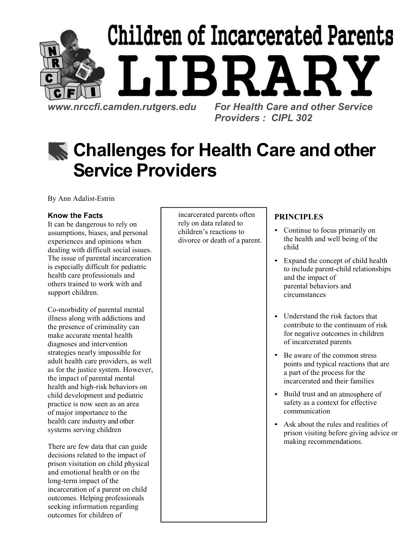

Providers : CIPL 302

# **K** Challenges for Health Care and other Service Providers

By Ann Adalist-Estrin

### Know the Facts

It can be dangerous to rely on assumptions, biases, and personal experiences and opinions when dealing with difficult social issues. The issue of parental incarceration is especially difficult for pediatric health care professionals and others trained to work with and support children.

Co-morbidity of parental mental illness along with addictions and the presence of criminality can make accurate mental health diagnoses and intervention strategies nearly impossible for adult health care providers, as well as for the justice system. However, the impact of parental mental health and high-risk behaviors on child development and pediatric practice is now seen as an area of major importance to the health care industry and other systems serving children

There are few data that can guide decisions related to the impact of prison visitation on child physical and emotional health or on the long-term impact of the incarceration of a parent on child outcomes. Helping professionals seeking information regarding outcomes for children of

incarcerated parents often rely on data related to children's reactions to divorce or death of a parent.

### PRINCIPLES

- Continue to focus primarily on the health and well being of the child
- Expand the concept of child health to include parent-child relationships and the impact of parental behaviors and circumstances
- Understand the risk factors that contribute to the continuum of risk for negative outcomes in children of incarcerated parents
- Be aware of the common stress points and typical reactions that are a part of the process for the incarcerated and their families
- Build trust and an atmosphere of safety as a context for effective communication
- Ask about the rules and realities of prison visiting before giving advice or making recommendations.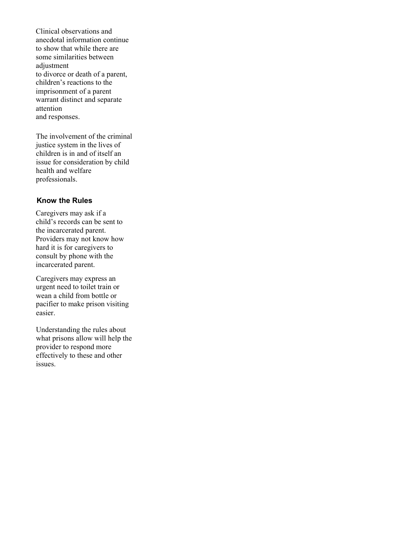Clinical observations and anecdotal information continue to show that while there are some similarities between adjustment to divorce or death of a parent, children's reactions to the imprisonment of a parent warrant distinct and separate attention and responses.

The involvement of the criminal justice system in the lives of children is in and of itself an issue for consideration by child health and welfare professionals.

#### Know the Rules

Caregivers may ask if a child's records can be sent to the incarcerated parent. Providers may not know how hard it is for caregivers to consult by phone with the incarcerated parent.

Caregivers may express an urgent need to toilet train or wean a child from bottle or pacifier to make prison visiting easier.

Understanding the rules about what prisons allow will help the provider to respond more effectively to these and other issues.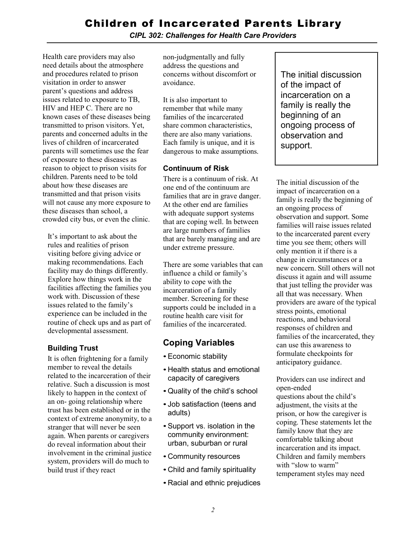CIPL 302: Challenges for Health Care Providers

Health care providers may also need details about the atmosphere and procedures related to prison visitation in order to answer parent's questions and address issues related to exposure to TB, HIV and HEP C. There are no known cases of these diseases being transmitted to prison visitors. Yet, parents and concerned adults in the lives of children of incarcerated parents will sometimes use the fear of exposure to these diseases as reason to object to prison visits for children. Parents need to be told about how these diseases are transmitted and that prison visits will not cause any more exposure to these diseases than school, a crowded city bus, or even the clinic.

It's important to ask about the rules and realities of prison visiting before giving advice or making recommendations. Each facility may do things differently. Explore how things work in the facilities affecting the families you work with. Discussion of these issues related to the family's experience can be included in the routine of check ups and as part of developmental assessment.

### Building Trust

It is often frightening for a family member to reveal the details related to the incarceration of their relative. Such a discussion is most likely to happen in the context of an on- going relationship where trust has been established or in the context of extreme anonymity, to a stranger that will never be seen again. When parents or caregivers do reveal information about their involvement in the criminal justice system, providers will do much to build trust if they react

non-judgmentally and fully address the questions and concerns without discomfort or avoidance.

It is also important to remember that while many families of the incarcerated share common characteristics, there are also many variations. Each family is unique, and it is dangerous to make assumptions.

### Continuum of Risk

There is a continuum of risk. At one end of the continuum are families that are in grave danger. At the other end are families with adequate support systems that are coping well. In between are large numbers of families that are barely managing and are under extreme pressure.

There are some variables that can influence a child or family's ability to cope with the incarceration of a family member. Screening for these supports could be included in a routine health care visit for families of the incarcerated.

## Coping Variables

- Economic stability
- Health status and emotional capacity of caregivers
- Quality of the child's school
- Job satisfaction (teens and adults)
- Support vs. isolation in the community environment: urban, suburban or rural
- Community resources
- Child and family spirituality
- Racial and ethnic prejudices

The initial discussion of the impact of incarceration on a family is really the beginning of an ongoing process of observation and support.

The initial discussion of the impact of incarceration on a family is really the beginning of an ongoing process of observation and support. Some families will raise issues related to the incarcerated parent every time you see them; others will only mention it if there is a change in circumstances or a new concern. Still others will not discuss it again and will assume that just telling the provider was all that was necessary. When providers are aware of the typical stress points, emotional reactions, and behavioral responses of children and families of the incarcerated, they can use this awareness to formulate checkpoints for anticipatory guidance.

### Providers can use indirect and open-ended

questions about the child's adjustment, the visits at the prison, or how the caregiver is coping. These statements let the family know that they are comfortable talking about incarceration and its impact. Children and family members with "slow to warm" temperament styles may need